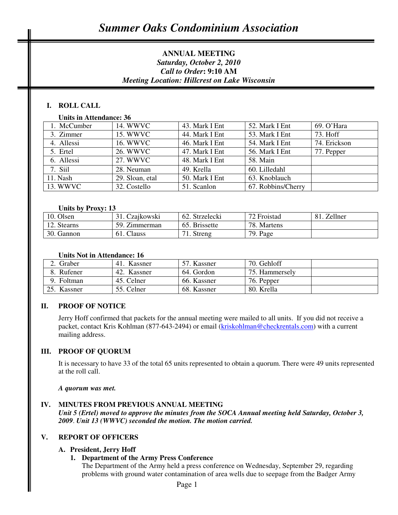# **ANNUAL MEETING**  *Saturday, October 2, 2010 Call to Order***: 9:10 AM** *Meeting Location: Hillcrest on Lake Wisconsin*

# **I. ROLL CALL**

### **Units in Attendance: 36**

| 1. McCumber | 14. WWVC        | 43. Mark I Ent | 52. Mark I Ent     | 69. O'Hara   |
|-------------|-----------------|----------------|--------------------|--------------|
| 3. Zimmer   | 15. WWVC        | 44. Mark I Ent | 53. Mark I Ent     | 73. Hoff     |
| 4. Allessi  | 16. WWVC        | 46. Mark I Ent | 54. Mark I Ent     | 74. Erickson |
| 5. Ertel    | 26. WWVC        | 47. Mark I Ent | 56. Mark I Ent     | 77. Pepper   |
| 6. Allessi  | 27. WWVC        | 48. Mark I Ent | 58. Main           |              |
| 7. Siil     | 28. Neuman      | 49. Krella     | 60. Lilledahl      |              |
| 11. Nash    | 29. Sloan, etal | 50. Mark I Ent | 63. Knoblauch      |              |
| 13. WWVC    | 32. Costello    | 51. Scanlon    | 67. Robbins/Cherry |              |
|             |                 |                |                    |              |

#### **Units by Proxy: 13**

| 10. Olsen   | Czajkowski    | 62. Strzelecki | 72 Froistad | Zellner<br>81 |
|-------------|---------------|----------------|-------------|---------------|
| 12. Stearns | 59. Zimmerman | 65. Brissette  | 78. Martens |               |
| 30. Gannon  | Clauss<br>61. | Streng         | 79. Page    |               |

#### **Units Not in Attendance: 16**

| 2. Graber   | . Kassner<br>41. | 57. Kassner | 70. Gehloff    |  |
|-------------|------------------|-------------|----------------|--|
| 8. Rufener  | 42. Kassner      | 64. Gordon  | 75. Hammersely |  |
| Foltman     | 45. Celner       | 66. Kassner | 76. Pepper     |  |
| 25. Kassner | 55. Celner       | 68. Kassner | 80. Krella     |  |

### **II. PROOF OF NOTICE**

Jerry Hoff confirmed that packets for the annual meeting were mailed to all units. If you did not receive a packet, contact Kris Kohlman (877-643-2494) or email (kriskohlman@checkrentals.com) with a current mailing address.

#### **III. PROOF OF QUORUM**

It is necessary to have 33 of the total 65 units represented to obtain a quorum. There were 49 units represented at the roll call.

#### *A quorum was met.*

#### **IV. MINUTES FROM PREVIOUS ANNUAL MEETING**

*Unit 5 (Ertel) moved to approve the minutes from the SOCA Annual meeting held Saturday, October 3, 2009*. *Unit 13 (WWVC) seconded the motion. The motion carried.* 

#### **V. REPORT OF OFFICERS**

#### **A. President, Jerry Hoff**

#### **1. Department of the Army Press Conference**

The Department of the Army held a press conference on Wednesday, September 29, regarding problems with ground water contamination of area wells due to seepage from the Badger Army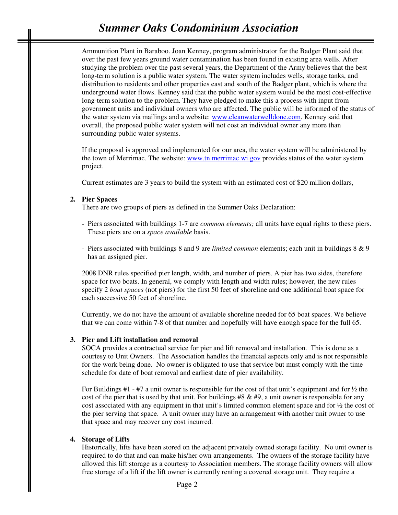Ammunition Plant in Baraboo. Joan Kenney, program administrator for the Badger Plant said that over the past few years ground water contamination has been found in existing area wells. After studying the problem over the past several years, the Department of the Army believes that the best long-term solution is a public water system. The water system includes wells, storage tanks, and distribution to residents and other properties east and south of the Badger plant, which is where the underground water flows. Kenney said that the public water system would be the most cost-effective long-term solution to the problem. They have pledged to make this a process with input from government units and individual owners who are affected. The public will be informed of the status of the water system via mailings and a website: www.cleanwaterwelldone.com. Kenney said that overall, the proposed public water system will not cost an individual owner any more than surrounding public water systems.

If the proposal is approved and implemented for our area, the water system will be administered by the town of Merrimac. The website: www.tn.merrimac.wi.gov provides status of the water system project.

Current estimates are 3 years to build the system with an estimated cost of \$20 million dollars,

#### **2. Pier Spaces**

There are two groups of piers as defined in the Summer Oaks Declaration:

- Piers associated with buildings 1-7 are *common elements;* all units have equal rights to these piers. These piers are on a *space available* basis.
- Piers associated with buildings 8 and 9 are *limited common* elements; each unit in buildings 8 & 9 has an assigned pier.

2008 DNR rules specified pier length, width, and number of piers. A pier has two sides, therefore space for two boats. In general, we comply with length and width rules; however, the new rules specify 2 *boat spaces* (not piers) for the first 50 feet of shoreline and one additional boat space for each successive 50 feet of shoreline.

Currently, we do not have the amount of available shoreline needed for 65 boat spaces. We believe that we can come within 7-8 of that number and hopefully will have enough space for the full 65.

#### **3. Pier and Lift installation and removal**

SOCA provides a contractual service for pier and lift removal and installation. This is done as a courtesy to Unit Owners. The Association handles the financial aspects only and is not responsible for the work being done. No owner is obligated to use that service but must comply with the time schedule for date of boat removal and earliest date of pier availability.

For Buildings #1 - #7 a unit owner is responsible for the cost of that unit's equipment and for  $\frac{1}{2}$  the cost of the pier that is used by that unit. For buildings  $#8 \& #9$ , a unit owner is responsible for any cost associated with any equipment in that unit's limited common element space and for ½ the cost of the pier serving that space. A unit owner may have an arrangement with another unit owner to use that space and may recover any cost incurred.

#### **4. Storage of Lifts**

Historically, lifts have been stored on the adjacent privately owned storage facility. No unit owner is required to do that and can make his/her own arrangements. The owners of the storage facility have allowed this lift storage as a courtesy to Association members. The storage facility owners will allow free storage of a lift if the lift owner is currently renting a covered storage unit. They require a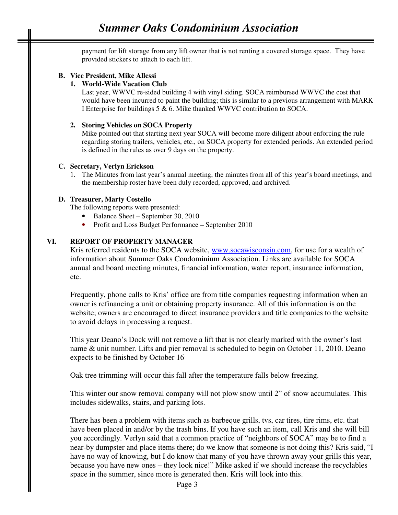payment for lift storage from any lift owner that is not renting a covered storage space. They have provided stickers to attach to each lift.

### **B. Vice President, Mike Allessi**

### **1. World-Wide Vacation Club**

Last year, WWVC re-sided building 4 with vinyl siding. SOCA reimbursed WWVC the cost that would have been incurred to paint the building; this is similar to a previous arrangement with MARK I Enterprise for buildings 5 & 6. Mike thanked WWVC contribution to SOCA.

### **2. Storing Vehicles on SOCA Property**

Mike pointed out that starting next year SOCA will become more diligent about enforcing the rule regarding storing trailers, vehicles, etc., on SOCA property for extended periods. An extended period is defined in the rules as over 9 days on the property.

### **C. Secretary, Verlyn Erickson**

1. The Minutes from last year's annual meeting, the minutes from all of this year's board meetings, and the membership roster have been duly recorded, approved, and archived.

### **D. Treasurer, Marty Costello**

The following reports were presented:

- Balance Sheet September 30, 2010
- Profit and Loss Budget Performance September 2010

### **VI. REPORT OF PROPERTY MANAGER**

Kris referred residents to the SOCA website, www.socawisconsin.com, for use for a wealth of information about Summer Oaks Condominium Association. Links are available for SOCA annual and board meeting minutes, financial information, water report, insurance information, etc.

Frequently, phone calls to Kris' office are from title companies requesting information when an owner is refinancing a unit or obtaining property insurance. All of this information is on the website; owners are encouraged to direct insurance providers and title companies to the website to avoid delays in processing a request.

This year Deano's Dock will not remove a lift that is not clearly marked with the owner's last name & unit number. Lifts and pier removal is scheduled to begin on October 11, 2010. Deano expects to be finished by October 16.

Oak tree trimming will occur this fall after the temperature falls below freezing.

This winter our snow removal company will not plow snow until 2" of snow accumulates. This includes sidewalks, stairs, and parking lots.

There has been a problem with items such as barbeque grills, tvs, car tires, tire rims, etc. that have been placed in and/or by the trash bins. If you have such an item, call Kris and she will bill you accordingly. Verlyn said that a common practice of "neighbors of SOCA" may be to find a near-by dumpster and place items there; do we know that someone is not doing this? Kris said, "I have no way of knowing, but I do know that many of you have thrown away your grills this year, because you have new ones – they look nice!" Mike asked if we should increase the recyclables space in the summer, since more is generated then. Kris will look into this.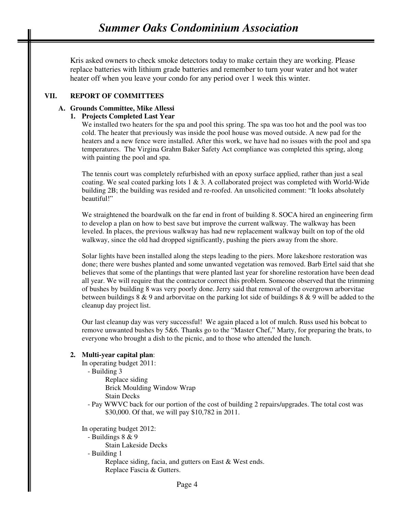Kris asked owners to check smoke detectors today to make certain they are working. Please replace batteries with lithium grade batteries and remember to turn your water and hot water heater off when you leave your condo for any period over 1 week this winter.

### **VII. REPORT OF COMMITTEES**

## **A. Grounds Committee, Mike Allessi**

## **1. Projects Completed Last Year**

We installed two heaters for the spa and pool this spring. The spa was too hot and the pool was too cold. The heater that previously was inside the pool house was moved outside. A new pad for the heaters and a new fence were installed. After this work, we have had no issues with the pool and spa temperatures. The Virgina Grahm Baker Safety Act compliance was completed this spring, along with painting the pool and spa.

The tennis court was completely refurbished with an epoxy surface applied, rather than just a seal coating. We seal coated parking lots  $1 \& 3$ . A collaborated project was completed with World-Wide building 2B; the building was resided and re-roofed. An unsolicited comment: "It looks absolutely beautiful!"

We straightened the boardwalk on the far end in front of building 8. SOCA hired an engineering firm to develop a plan on how to best save but improve the current walkway. The walkway has been leveled. In places, the previous walkway has had new replacement walkway built on top of the old walkway, since the old had dropped significantly, pushing the piers away from the shore.

Solar lights have been installed along the steps leading to the piers. More lakeshore restoration was done; there were bushes planted and some unwanted vegetation was removed. Barb Ertel said that she believes that some of the plantings that were planted last year for shoreline restoration have been dead all year. We will require that the contractor correct this problem. Someone observed that the trimming of bushes by building 8 was very poorly done. Jerry said that removal of the overgrown arborvitae between buildings 8 & 9 and arborvitae on the parking lot side of buildings 8 & 9 will be added to the cleanup day project list.

Our last cleanup day was very successful! We again placed a lot of mulch. Russ used his bobcat to remove unwanted bushes by 5&6. Thanks go to the "Master Chef," Marty, for preparing the brats, to everyone who brought a dish to the picnic, and to those who attended the lunch.

### **2. Multi-year capital plan**:

In operating budget 2011:

- Building 3

 Replace siding Brick Moulding Window Wrap Stain Decks

- Pay WWVC back for our portion of the cost of building 2 repairs/upgrades. The total cost was \$30,000. Of that, we will pay \$10,782 in 2011.

In operating budget 2012:

- Buildings 8 & 9

Stain Lakeside Decks

- Building 1

 Replace siding, facia, and gutters on East & West ends. Replace Fascia & Gutters.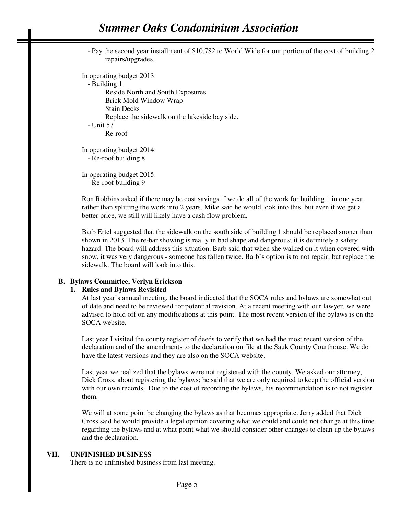- Pay the second year installment of \$10,782 to World Wide for our portion of the cost of building 2 repairs/upgrades.

In operating budget 2013:

- Building 1

 Reside North and South Exposures Brick Mold Window Wrap Stain Decks Replace the sidewalk on the lakeside bay side. - Unit 57 Re-roof

In operating budget 2014: - Re-roof building 8

In operating budget 2015: - Re-roof building 9

Ron Robbins asked if there may be cost savings if we do all of the work for building 1 in one year rather than splitting the work into 2 years. Mike said he would look into this, but even if we get a better price, we still will likely have a cash flow problem.

Barb Ertel suggested that the sidewalk on the south side of building 1 should be replaced sooner than shown in 2013. The re-bar showing is really in bad shape and dangerous; it is definitely a safety hazard. The board will address this situation. Barb said that when she walked on it when covered with snow, it was very dangerous - someone has fallen twice. Barb's option is to not repair, but replace the sidewalk. The board will look into this.

### **B. Bylaws Committee, Verlyn Erickson**

#### **1. Rules and Bylaws Revisited**

At last year's annual meeting, the board indicated that the SOCA rules and bylaws are somewhat out of date and need to be reviewed for potential revision. At a recent meeting with our lawyer, we were advised to hold off on any modifications at this point. The most recent version of the bylaws is on the SOCA website.

Last year I visited the county register of deeds to verify that we had the most recent version of the declaration and of the amendments to the declaration on file at the Sauk County Courthouse. We do have the latest versions and they are also on the SOCA website.

Last year we realized that the bylaws were not registered with the county. We asked our attorney, Dick Cross, about registering the bylaws; he said that we are only required to keep the official version with our own records. Due to the cost of recording the bylaws, his recommendation is to not register them.

We will at some point be changing the bylaws as that becomes appropriate. Jerry added that Dick Cross said he would provide a legal opinion covering what we could and could not change at this time regarding the bylaws and at what point what we should consider other changes to clean up the bylaws and the declaration.

### **VII. UNFINISHED BUSINESS**

There is no unfinished business from last meeting.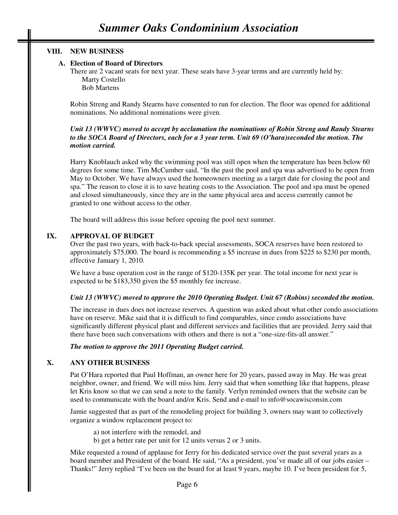### **VIII. NEW BUSINESS**

### **A. Election of Board of Directors**

There are 2 vacant seats for next year. These seats have 3-year terms and are currently held by: Marty Costello Bob Martens

Robin Streng and Randy Stearns have consented to run for election. The floor was opened for additional nominations. No additional nominations were given.

#### *Unit 13 (WWVC) moved to accept by acclamation the nominations of Robin Streng and Randy Stearns to the SOCA Board of Directors, each for a 3 year term. Unit 69 (O'hara)seconded the motion. The motion carried.*

Harry Knoblauch asked why the swimming pool was still open when the temperature has been below 60 degrees for some time. Tim McCumber said, "In the past the pool and spa was advertised to be open from May to October. We have always used the homeowners meeting as a target date for closing the pool and spa." The reason to close it is to save heating costs to the Association. The pool and spa must be opened and closed simultaneously, since they are in the same physical area and access currently cannot be granted to one without access to the other.

The board will address this issue before opening the pool next summer.

### **IX. APPROVAL OF BUDGET**

Over the past two years, with back-to-back special assessments, SOCA reserves have been restored to approximately \$75,000. The board is recommending a \$5 increase in dues from \$225 to \$230 per month, effective January 1, 2010.

We have a base operation cost in the range of \$120-135K per year. The total income for next year is expected to be \$183,350 given the \$5 monthly fee increase.

### *Unit 13 (WWVC) moved to approve the 2010 Operating Budget. Unit 67 (Robins) seconded the motion.*

The increase in dues does not increase reserves. A question was asked about what other condo associations have on reserve. Mike said that it is difficult to find comparables, since condo associations have significantly different physical plant and different services and facilities that are provided. Jerry said that there have been such conversations with others and there is not a "one-size-fits-all answer."

#### *The motion to approve the 2011 Operating Budget carried.*

### **X. ANY OTHER BUSINESS**

Pat O'Hara reported that Paul Hoffman, an owner here for 20 years, passed away in May. He was great neighbor, owner, and friend. We will miss him. Jerry said that when something like that happens, please let Kris know so that we can send a note to the family. Verlyn reminded owners that the website can be used to communicate with the board and/or Kris. Send and e-mail to info@socawisconsin.com

Jamie suggested that as part of the remodeling project for building 3, owners may want to collectively organize a window replacement project to:

- a) not interfere with the remodel, and
- b) get a better rate per unit for 12 units versus 2 or 3 units.

Mike requested a round of applause for Jerry for his dedicated service over the past several years as a board member and President of the board. He said, "As a president, you've made all of our jobs easier – Thanks!" Jerry replied "I've been on the board for at least 9 years, maybe 10. I've been president for 5,